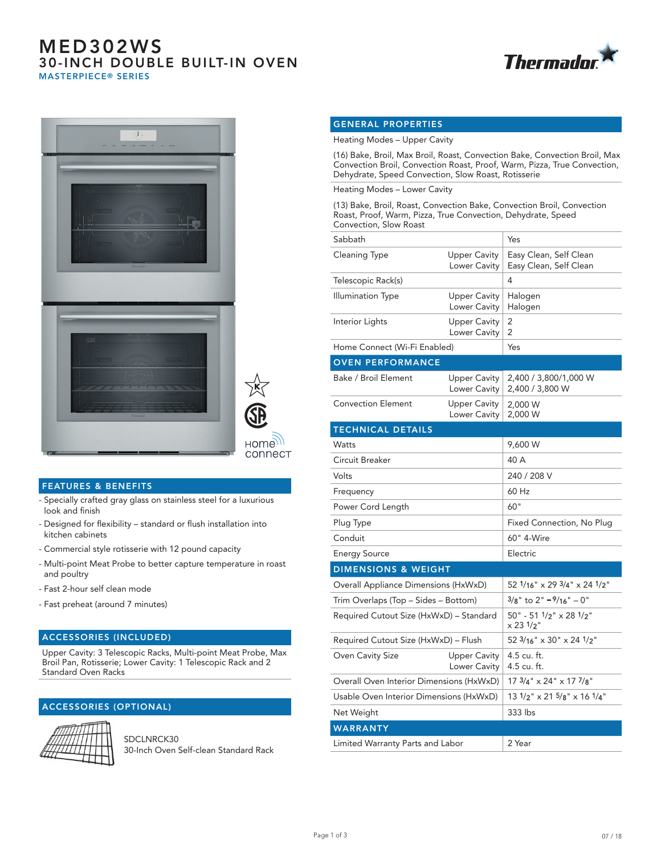# MED302WS 30-INCH DOUBLE BUILT-IN OVEN MASTERPIECE® SERIES







### FEATURES & BENEFITS

- Specially crafted gray glass on stainless steel for a luxurious look and finish
- Designed for flexibility standard or flush installation into kitchen cabinets
- Commercial style rotisserie with 12 pound capacity
- Multi-point Meat Probe to better capture temperature in roast and poultry
- Fast 2-hour self clean mode
- Fast preheat (around 7 minutes)

### ACCESSORIES (INCLUDED)

Upper Cavity: 3 Telescopic Racks, Multi-point Meat Probe, Max Broil Pan, Rotisserie; Lower Cavity: 1 Telescopic Rack and 2 Standard Oven Racks

### ACCESSORIES (OPTIONAL)



SDCLNRCK30 30-Inch Oven Self-clean Standard Rack

### GENERAL PROPERTIES

Heating Modes – Upper Cavity

(16) Bake, Broil, Max Broil, Roast, Convection Bake, Convection Broil, Max Convection Broil, Convection Roast, Proof, Warm, Pizza, True Convection, Dehydrate, Speed Convection, Slow Roast, Rotisserie

Heating Modes – Lower Cavity

(13) Bake, Broil, Roast, Convection Bake, Convection Broil, Convection Roast, Proof, Warm, Pizza, True Convection, Dehydrate, Speed Convection, Slow Roast

| Sabbath                                  |                                     | Yes                                                          |
|------------------------------------------|-------------------------------------|--------------------------------------------------------------|
| Cleaning Type                            | <b>Upper Cavity</b><br>Lower Cavity | Easy Clean, Self Clean<br>Easy Clean, Self Clean             |
| Telescopic Rack(s)                       |                                     | 4                                                            |
| <b>Illumination Type</b>                 | <b>Upper Cavity</b><br>Lower Cavity | Halogen<br>Halogen                                           |
| Interior Lights                          | <b>Upper Cavity</b><br>Lower Cavity | 2<br>2                                                       |
| Home Connect (Wi-Fi Enabled)             |                                     | Yes                                                          |
| <b>OVEN PERFORMANCE</b>                  |                                     |                                                              |
| Bake / Broil Element                     | <b>Upper Cavity</b><br>Lower Cavity | 2,400 / 3,800/1,000 W<br>2,400 / 3,800 W                     |
| <b>Convection Element</b>                | <b>Upper Cavity</b><br>Lower Cavity | 2,000 W<br>2,000 W                                           |
| <b>TECHNICAL DETAILS</b>                 |                                     |                                                              |
| Watts                                    |                                     | 9,600 W                                                      |
| Circuit Breaker                          |                                     | 40 A                                                         |
| Volts                                    |                                     | 240 / 208 V                                                  |
| Frequency                                |                                     | 60 Hz                                                        |
| Power Cord Length                        |                                     | 60"                                                          |
| Plug Type                                |                                     | Fixed Connection, No Plug                                    |
| Conduit                                  |                                     | 60" 4-Wire                                                   |
| <b>Energy Source</b>                     |                                     | Electric                                                     |
| <b>DIMENSIONS &amp; WEIGHT</b>           |                                     |                                                              |
| Overall Appliance Dimensions (HxWxD)     |                                     | 52 1/16" x 29 3/4" x 24 1/2"                                 |
| Trim Overlaps (Top - Sides - Bottom)     |                                     | $3/8$ " to 2" $-9/16$ " $-0$ "                               |
| Required Cutout Size (HxWxD) - Standard  |                                     | 50" - 51 1/2" x 28 1/2"<br>$\times$ 23 $1/2$ "               |
| Required Cutout Size (HxWxD) - Flush     |                                     | 52 3/16" x 30" x 24 1/2"                                     |
| <b>Oven Cavity Size</b>                  | <b>Upper Cavity</b><br>Lower Cavity | 4.5 cu. ft.<br>4.5 cu. ft.                                   |
| Overall Oven Interior Dimensions (HxWxD) |                                     | 17 3/4" x 24" x 17 7/8"                                      |
| Usable Oven Interior Dimensions (HxWxD)  |                                     | $13 \frac{1}{2}$ " x 21 $\frac{5}{8}$ " x 16 $\frac{1}{4}$ " |
| Net Weight                               |                                     | 333 lbs                                                      |
| <b>WARRANTY</b>                          |                                     |                                                              |
| Limited Warranty Parts and Labor         |                                     | 2 Year                                                       |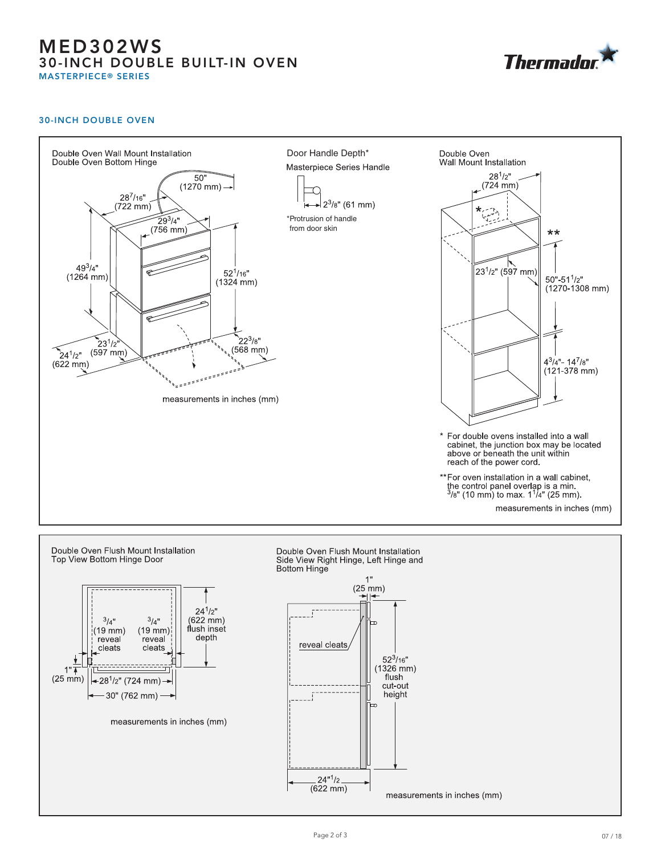## MED302WS 30-INCH DOUBLE BUILT-IN OVEN MASTERPIECE® SERIES

**Thermador** 

#### 30-INCH DOUBLE OVEN



 $(622 \, mm)$ 

measurements in inches (mm)